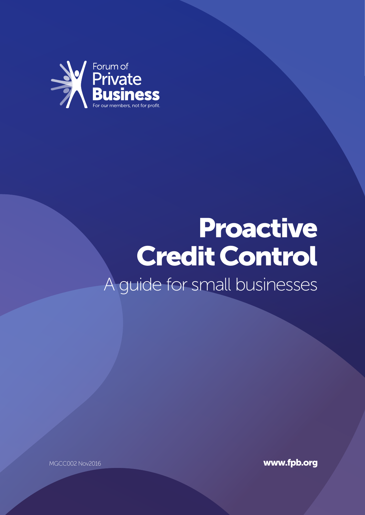

## Proactive Credit Control A guide for small businesses

Forum of Private Business Visit fpb.org

MGCC002 Nov2016 **www.fpb.org**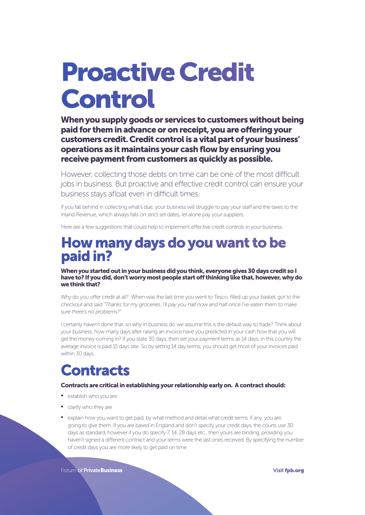# Proactive Credit Control

When you supply goods or services to customers without being paid for them in advance or on receipt, you are offering your customers credit. Credit control is a vital part of your business' operations as it maintains your cash flow by ensuring you receive payment from customers as quickly as possible.

However, collecting those debts on time can be one of the most difficult jobs in business. But proactive and effective credit control can ensure your business stays afloat even in difficult times.

If you fall behind in collecting what's due, your business will struggle to pay your staff and the taxes to the Inland Revenue, which always falls on strict set dates, let alone pay your suppliers.

Here are a few suggestions that could help to implement effective credit controls in your business.

#### How many days do you want to be paid in?

When you started out in your business did you think, everyone gives 30 days credit so I have to? If you did, don't worry most people start off thinking like that, however, why do we think that?

Why do you offer credit at all? When was the last time you went to Tesco, filled up your basket, got to the checkout and said *"Thanks for my groceries, I'll pay you half now and half once I've eaten them to make sure there's no problems?"*

I certainly haven't done that, so why in business do we assume this is the default way to trade? Think about your business, how many days after raising an invoice have you predicted in your cash flow that you will get the money coming in? If you state 30 days, then set your payment terms as 14 days, in this country the average invoice is paid 15 days late. So by setting 14 day terms, you should get most of your invoices paid within 30 days.

## **Contracts**

#### Contracts are critical in establishing your relationship early on. A contract should:

- establish who you are
- clarify who they are
- explain how you want to get paid, by what method and detail what credit terms, if any, you are going to give them. If you are based in England and don't specify your credit days, the courts use 30 days as standard, however if you do specify 7, 14, 28 days etc., then yours are binding, providing you haven't signed a different contract and your terms were the last ones received. By specifying the number of credit days you are more likely to get paid on time

Forum of Private Business and the Community of Private Business and the Visit fpb.org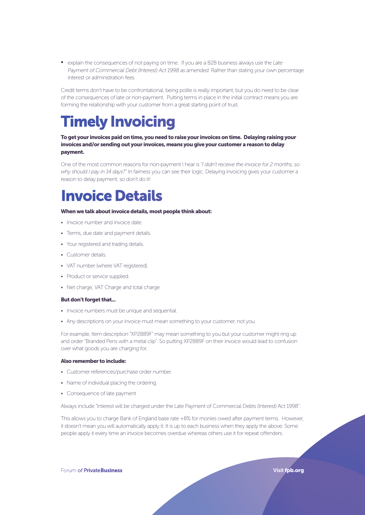• explain the consequences of not paying on time. If you are a B2B business always use the *Late Payment of Commercial Debt (Interest) Act 1998 as amended*. Rather than stating your own percentage interest or administration fees

Credit terms don't have to be confrontational, being polite is really important, but you do need to be clear of the consequences of late or non-payment. Putting terms in place in the initial contract means you are forming the relationship with your customer from a great starting point of trust.

## Timely Invoicing

To get your invoices paid on time, you need to raise your invoices on time. Delaying raising your invoices and/or sending out your invoices, means you give your customer a reason to delay payment.

One of the most common reasons for non-payment I hear is *"I didn't receive the invoice for 2 months, so why should I pay in 14 days?"* In fairness you can see their logic. Delaying invoicing gives your customer a reason to delay payment, so don't do it!

### Invoice Details

#### When we talk about invoice details, most people think about:

- Invoice number and invoice date.
- Terms, due date and payment details.
- Your registered and trading details.
- Customer details.
- VAT number (where VAT registered).
- Product or service supplied.
- Net charge, VAT Charge and total charge

#### But don't forget that...

- Invoice numbers must be unique and sequential.
- Any descriptions on your invoice must mean something to your customer, not you.

For example, Item description "XP2889F" may mean something to you but your customer might ring up and order "Branded Pens with a metal clip". So putting XP2889F on their invoice would lead to confusion over what goods you are charging for.

#### Also remember to include:

- Customer references/purchase order number.
- Name of individual placing the ordering.
- Consequence of late payment

Always include "Interest will be charged under the Late Payment of Commercial Debts (Interest) Act 1998".

This allows you to charge Bank of England base rate +8% for monies owed after payment terms. However, it doesn't mean you will automatically apply it. It is up to each business when they apply the above. Some people apply it every time an invoice becomes overdue whereas others use it for repeat offenders.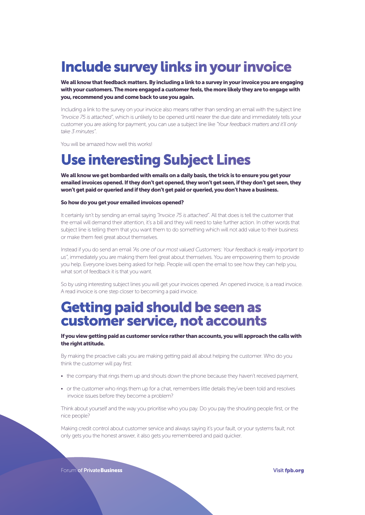## Include survey links in your invoice

We all know that feedback matters. By including a link to a survey in your invoice you are engaging with your customers. The more engaged a customer feels, the more likely they are to engage with you, recommend you and come back to use you again.

Including a link to the survey on your invoice also means rather than sending an email with the subject line *"Invoice 75 is attached"*, which is unlikely to be opened until nearer the due date and immediately tells your customer you are asking for payment, you can use a subject line like *"Your feedback matters and it'll only take 3 minutes"*.

You will be amazed how well this works!

#### Use interesting Subject Lines

We all know we get bombarded with emails on a daily basis, the trick is to ensure you get your emailed invoices opened. If they don't get opened, they won't get seen, if they don't get seen, they won't get paid or queried and if they don't get paid or queried, you don't have a business.

#### So how do you get your emailed invoices opened?

It certainly isn't by sending an email saying *"Invoice 75 is attached".* All that does is tell the customer that the email will demand their attention, it's a bill and they will need to take further action. In other words that subject line is telling them that you want them to do something which will not add value to their business or make them feel great about themselves.

Instead if you do send an email *"As one of our most valued Customers: Your feedback is really important to us"*, immediately you are making them feel great about themselves. You are empowering them to provide you help. Everyone loves being asked for help. People will open the email to see how they can help you, what sort of feedback it is that you want.

So by using interesting subject lines you will get your invoices opened. An opened invoice, is a read invoice. A read invoice is one step closer to becoming a paid invoice.

#### Getting paid should be seen as customer service, not accounts

#### If you view getting paid as customer service rather than accounts, you will approach the calls with the right attitude.

By making the proactive calls you are making getting paid all about helping the customer. Who do you think the customer will pay first:

- the company that rings them up and shouts down the phone because they haven't received payment,
- or the customer who rings them up for a chat, remembers little details they've been told and resolves invoice issues before they become a problem?

Think about yourself and the way you prioritise who you pay. Do you pay the shouting people first, or the nice people?

Making credit control about customer service and always saying it's your fault, or your systems fault, not only gets you the honest answer, it also gets you remembered and paid quicker.

Forum of Private Business **View Accounts and Accounts and Accounts Accounts** Visit fpb.org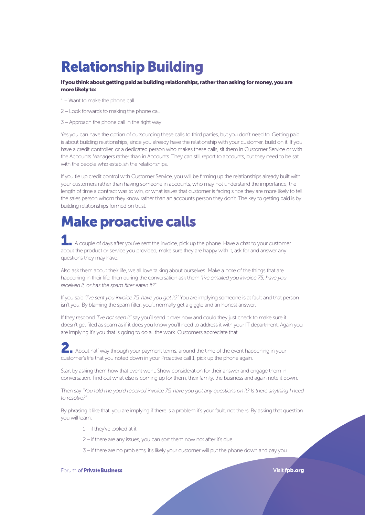## Relationship Building

#### If you think about getting paid as building relationships, rather than asking for money, you are more likely to:

- 1 Want to make the phone call
- 2 Look forwards to making the phone call
- 3 Approach the phone call in the right way

Yes you can have the option of outsourcing these calls to third parties, but you don't need to. Getting paid is about building relationships, since you already have the relationship with your customer, build on it. If you have a credit controller, or a dedicated person who makes these calls, sit them in Customer Service or with the Accounts Managers rather than in Accounts. They can still report to accounts, but they need to be sat with the people who establish the relationships.

If you tie up credit control with Customer Service, you will be firming up the relationships already built with your customers rather than having someone in accounts, who may not understand the importance, the length of time a contract was to win, or what issues that customer is facing since they are more likely to tell the sales person whom they know rather than an accounts person they don't. The key to getting paid is by building relationships formed on trust.

## Make proactive calls

**1.** A couple of days after you've sent the invoice, pick up the phone. Have a chat to your customer about the product or service you provided, make sure they are happy with it, ask for and answer any questions they may have.

Also ask them about their life, we all love talking about ourselves! Make a note of the things that are happening in their life, then during the conversation ask them *"I've emailed you invoice 75, have you received it, or has the spam filter eaten it?"* 

If you said *"I've sent you invoice 75, have you got it?"* You are implying someone is at fault and that person isn't you. By blaming the spam filter, you'll normally get a giggle and an honest answer.

If they respond *"I've not seen it"* say you'll send it over now and could they just check to make sure it doesn't get filed as spam as if it does you know you'll need to address it with your IT department. Again you are implying it's you that is going to do all the work. Customers appreciate that.

2. About half way through your payment terms, around the time of the event happening in your customer's life that you noted down in your Proactive call 1, pick up the phone again.

Start by asking them how that event went. Show consideration for their answer and engage them in conversation. Find out what else is coming up for them, their family, the business and again note it down.

Then say *"You told me you'd received invoice 75, have you got any questions on it? Is there anything I need to resolve?"* 

By phrasing it like that, you are implying if there is a problem it's your fault, not theirs. By asking that question you will learn:

- 1 if they've looked at it
- 2 if there are any issues, you can sort them now not after it's due
- 3 if there are no problems, it's likely your customer will put the phone down and pay you.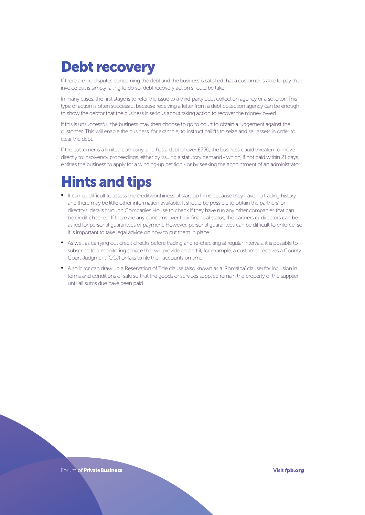## Debt recovery

If there are no disputes concerning the debt and the business is satisfied that a customer is able to pay their invoice but is simply failing to do so, debt recovery action should be taken.

In many cases, the first stage is to refer the issue to a third-party debt collection agency or a solicitor. This type of action is often successful because receiving a letter from a debt collection agency can be enough to show the debtor that the business is serious about taking action to recover the money owed.

If this is unsuccessful, the business may then choose to go to court to obtain a judgement against the customer. This will enable the business, for example, to instruct bailiffs to seize and sell assets in order to clear the debt.

If the customer is a limited company, and has a debt of over £750, the business could threaten to move directly to insolvency proceedings, either by issuing a statutory demand - which, if not paid within 21 days, entitles the business to apply for a winding-up petition - or by seeking the appointment of an administrator.

## Hints and tips

- It can be difficult to assess the creditworthiness of start-up firms because they have no trading history and there may be little other information available. It should be possible to obtain the partners' or directors' details through Companies House to check if they have run any other companies that can be credit checked. If there are any concerns over their financial status, the partners or directors can be asked for personal guarantees of payment. However, personal guarantees can be difficult to enforce, so it is important to take legal advice on how to put them in place.
- As well as carrying out credit checks before trading and re-checking at regular intervals, it is possible to subscribe to a monitoring service that will provide an alert if, for example, a customer receives a County Court Judgment (CCJ) or fails to file their accounts on time.
- A solicitor can draw up a Reservation of Title clause (also known as a 'Romalpa' clause) for inclusion in terms and conditions of sale so that the goods or services supplied remain the property of the supplier until all sums due have been paid.

Forum of Private Business **View Accounts and Accounts and Accounts Accounts** Visit fpb.org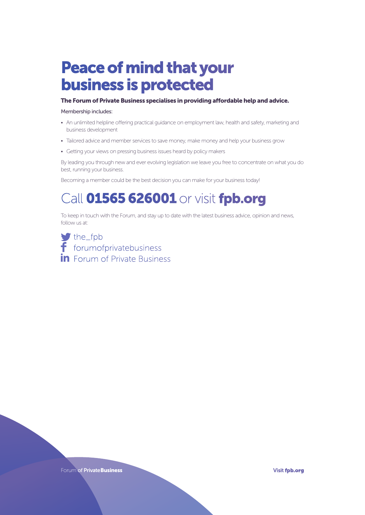## Peace of mind that your business is protected

#### The Forum of Private Business specialises in providing affordable help and advice.

#### Membership includes:

- An unlimited helpline offering practical guidance on employment law, health and safety, marketing and business development
- Tailored advice and member services to save money, make money and help your business grow
- Getting your views on pressing business issues heard by policy makers

By leading you through new and ever evolving legislation we leave you free to concentrate on what you do best, running your business.

Becoming a member could be the best decision you can make for your business today!

#### Call **01565 626001** or visit **fpb.org**

To keep in touch with the Forum, and stay up to date with the latest business advice, opinion and news, follow us at:

 $\blacktriangleright$  the\_fpb  $f$  forumofprivatebusiness **in** Forum of Private Business

Forum of Private Business and the Community of Private Business and the Visit fpb.org